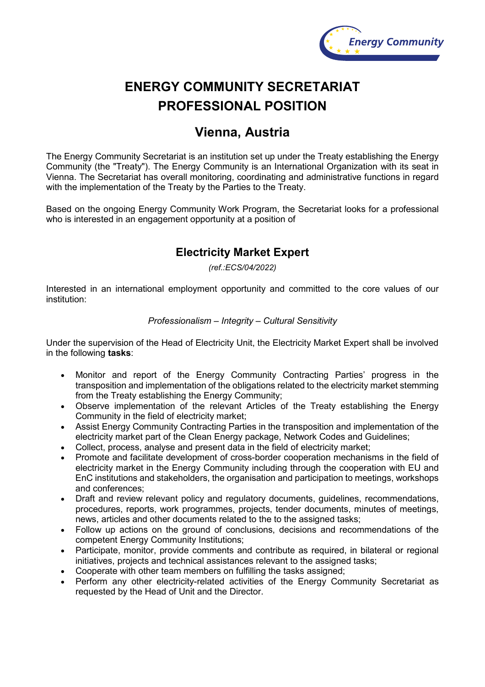

# **ENERGY COMMUNITY SECRETARIAT PROFESSIONAL POSITION**

## **Vienna, Austria**

The Energy Community Secretariat is an institution set up under the Treaty establishing the Energy Community (the "Treaty"). The Energy Community is an International Organization with its seat in Vienna. The Secretariat has overall monitoring, coordinating and administrative functions in regard with the implementation of the Treaty by the Parties to the Treaty.

Based on the ongoing Energy Community Work Program, the Secretariat looks for a professional who is interested in an engagement opportunity at a position of

### **Electricity Market Expert**

*(ref.:ECS/04/2022)*

Interested in an international employment opportunity and committed to the core values of our institution:

#### *Professionalism – Integrity – Cultural Sensitivity*

Under the supervision of the Head of Electricity Unit, the Electricity Market Expert shall be involved in the following **tasks**:

- Monitor and report of the Energy Community Contracting Parties' progress in the transposition and implementation of the obligations related to the electricity market stemming from the Treaty establishing the Energy Community;
- Observe implementation of the relevant Articles of the Treaty establishing the Energy Community in the field of electricity market;
- Assist Energy Community Contracting Parties in the transposition and implementation of the electricity market part of the Clean Energy package, Network Codes and Guidelines;
- Collect, process, analyse and present data in the field of electricity market;
- Promote and facilitate development of cross-border cooperation mechanisms in the field of electricity market in the Energy Community including through the cooperation with EU and EnC institutions and stakeholders, the organisation and participation to meetings, workshops and conferences;
- Draft and review relevant policy and regulatory documents, guidelines, recommendations, procedures, reports, work programmes, projects, tender documents, minutes of meetings, news, articles and other documents related to the to the assigned tasks;
- Follow up actions on the ground of conclusions, decisions and recommendations of the competent Energy Community Institutions;
- Participate, monitor, provide comments and contribute as required, in bilateral or regional initiatives, projects and technical assistances relevant to the assigned tasks;
- Cooperate with other team members on fulfilling the tasks assigned;
- Perform any other electricity-related activities of the Energy Community Secretariat as requested by the Head of Unit and the Director.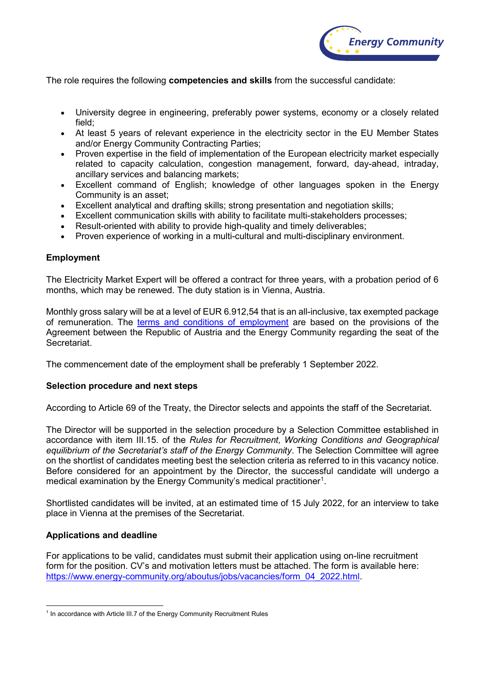

The role requires the following **competencies and skills** from the successful candidate:

- University degree in engineering, preferably power systems, economy or a closely related field;
- At least 5 years of relevant experience in the electricity sector in the EU Member States and/or Energy Community Contracting Parties;
- Proven expertise in the field of implementation of the European electricity market especially related to capacity calculation, congestion management, forward, day-ahead, intraday, ancillary services and balancing markets;
- Excellent command of English; knowledge of other languages spoken in the Energy Community is an asset;
- Excellent analytical and drafting skills; strong presentation and negotiation skills;
- Excellent communication skills with ability to facilitate multi-stakeholders processes;
- Result-oriented with ability to provide high-quality and timely deliverables;
- Proven experience of working in a multi-cultural and multi-disciplinary environment.

#### **Employment**

The Electricity Market Expert will be offered a contract for three years, with a probation period of 6 months, which may be renewed. The duty station is in Vienna, Austria.

Monthly gross salary will be at a level of EUR 6.912,54 that is an all-inclusive, tax exempted package of remuneration. The [terms and conditions of employment](https://www.energy-community.org/dam/jcr:cc5c53fa-2e7e-4e01-a562-db5eb812c07c/Staff_regulations.pdf) are based on the provisions of the Agreement between the Republic of Austria and the Energy Community regarding the seat of the Secretariat.

The commencement date of the employment shall be preferably 1 September 2022.

#### **Selection procedure and next steps**

According to Article 69 of the Treaty, the Director selects and appoints the staff of the Secretariat.

The Director will be supported in the selection procedure by a Selection Committee established in accordance with item III.15. of the *Rules for Recruitment, Working Conditions and Geographical equilibrium of the Secretariat's staff of the Energy Community*. The Selection Committee will agree on the shortlist of candidates meeting best the selection criteria as referred to in this vacancy notice. Before considered for an appointment by the Director, the successful candidate will undergo a medical examination by the Energy Community's medical practitioner $^{\text{\tiny{\text{1}}}}$ .

Shortlisted candidates will be invited, at an estimated time of 15 July 2022, for an interview to take place in Vienna at the premises of the Secretariat.

#### **Applications and deadline**

For applications to be valid, candidates must submit their application using on-line recruitment form for the position. CV's and motivation letters must be attached. The form is available here: [https://www.energy-community.org/aboutus/jobs/vacancies/form\\_04\\_2022.html.](https://www.energy-community.org/aboutus/jobs/vacancies/form_04_2022.html)

<span id="page-1-0"></span><sup>&</sup>lt;sup>1</sup> In accordance with Article III.7 of the Energy Community Recruitment Rules